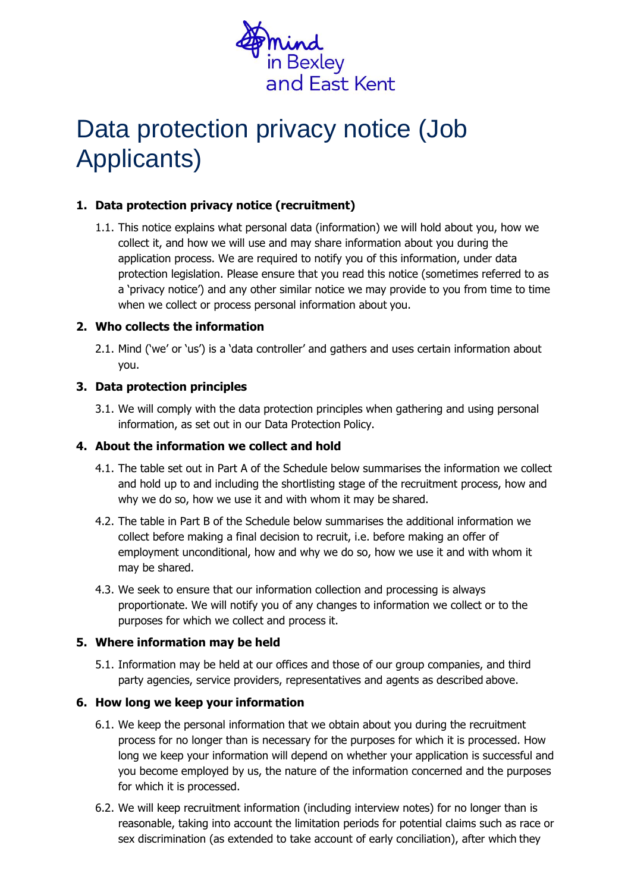

# Data protection privacy notice (Job Applicants)

# **1. Data protection privacy notice (recruitment)**

1.1. This notice explains what personal data (information) we will hold about you, how we collect it, and how we will use and may share information about you during the application process. We are required to notify you of this information, under data protection legislation. Please ensure that you read this notice (sometimes referred to as a 'privacy notice') and any other similar notice we may provide to you from time to time when we collect or process personal information about you.

#### **2. Who collects the information**

2.1. Mind ('we' or 'us') is a 'data controller' and gathers and uses certain information about you.

### **3. Data protection principles**

3.1. We will comply with the data protection principles when gathering and using personal information, as set out in our Data Protection Policy.

#### **4. About the information we collect and hold**

- 4.1. The table set out in Part A of the Schedule below summarises the information we collect and hold up to and including the shortlisting stage of the recruitment process, how and why we do so, how we use it and with whom it may be shared.
- 4.2. The table in Part B of the Schedule below summarises the additional information we collect before making a final decision to recruit, i.e. before making an offer of employment unconditional, how and why we do so, how we use it and with whom it may be shared.
- 4.3. We seek to ensure that our information collection and processing is always proportionate. We will notify you of any changes to information we collect or to the purposes for which we collect and process it.

### **5. Where information may be held**

5.1. Information may be held at our offices and those of our group companies, and third party agencies, service providers, representatives and agents as described above.

#### **6. How long we keep your information**

- 6.1. We keep the personal information that we obtain about you during the recruitment process for no longer than is necessary for the purposes for which it is processed. How long we keep your information will depend on whether your application is successful and you become employed by us, the nature of the information concerned and the purposes for which it is processed.
- 6.2. We will keep recruitment information (including interview notes) for no longer than is reasonable, taking into account the limitation periods for potential claims such as race or sex discrimination (as extended to take account of early conciliation), after which they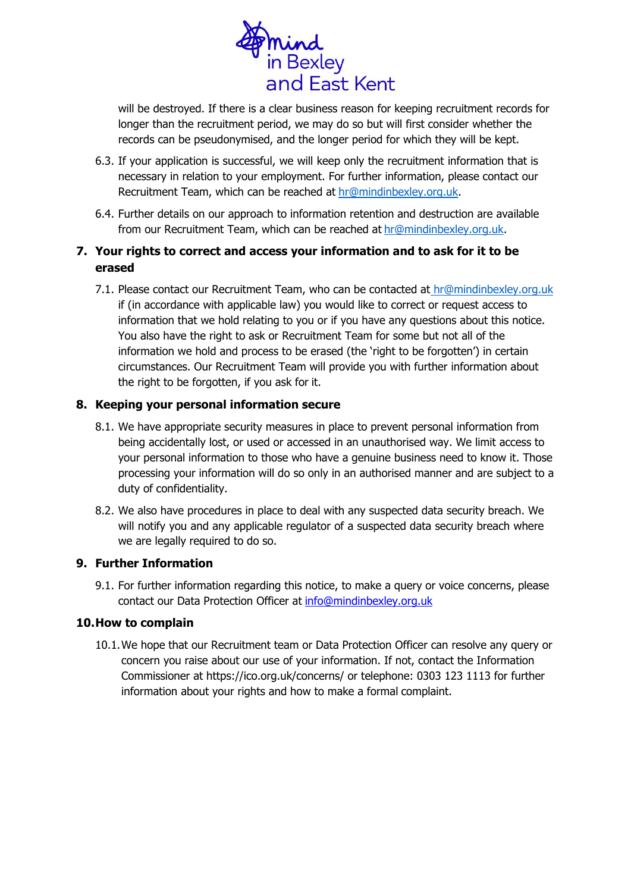

will be destroyed. If there is a clear business reason for keeping recruitment records for longer than the recruitment period, we may do so but will first consider whether the records can be pseudonymised, and the longer period for which they will be kept.

- 6.3. If your application is successful, we will keep only the recruitment information that is necessary in relation to your employment. For further information, please contact our Recruitment Team, which can be reached at [hr@mindinbexley.org.uk.](mailto:recruitment@mind.org.uk)
- 6.4. Further details on our approach to information retention and destruction are available from our Recruitment Team, which can be reached at [hr@mindinbexley.org.uk.](mailto:recruitment@mind.org.uk)

# **7. Your rights to correct and access your information and to ask for it to be erased**

7.1. Please contact our Recruitment Team, who can be contacted at [hr@mindinbexley.org.uk](mailto:recruitment@mind.org.uk) if (in accordance with applicable law) you would like to correct or request access to information that we hold relating to you or if you have any questions about this notice. You also have the right to ask or Recruitment Team for some but not all of the information we hold and process to be erased (the 'right to be forgotten') in certain circumstances. Our Recruitment Team will provide you with further information about the right to be forgotten, if you ask for it.

#### **8. Keeping your personal information secure**

- 8.1. We have appropriate security measures in place to prevent personal information from being accidentally lost, or used or accessed in an unauthorised way. We limit access to your personal information to those who have a genuine business need to know it. Those processing your information will do so only in an authorised manner and are subject to a duty of confidentiality.
- 8.2. We also have procedures in place to deal with any suspected data security breach. We will notify you and any applicable regulator of a suspected data security breach where we are legally required to do so.

# **9. Further Information**

9.1. For further information regarding this notice, to make a query or voice concerns, please contact our Data Protection Officer at [info@mindinbexley.org.uk](mailto:info@mindinbexley.org.uk)

#### **10.How to complain**

10.1.We hope that our Recruitment team or Data Protection Officer can resolve any query or concern you raise about our use of your information. If not, contact the Information Commissioner at https://ico.org.uk/concerns/ or telephone: 0303 123 1113 for further information about your rights and how to make a formal complaint.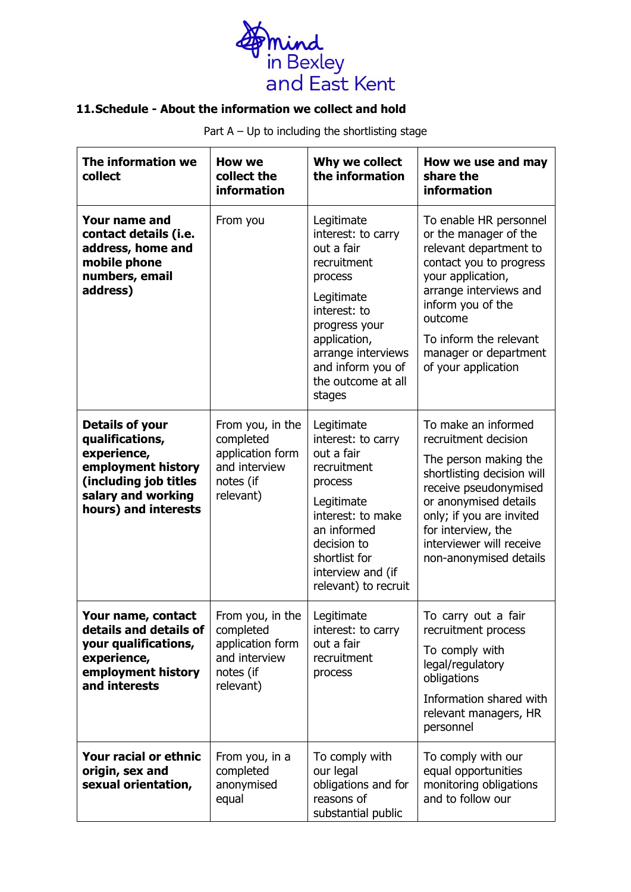

# **11.Schedule - About the information we collect and hold**

Part  $A - Up$  to including the shortlisting stage

| The information we<br>collect                                                                                                                         | <b>How we</b><br>collect the<br><b>information</b>                                           | Why we collect<br>the information                                                                                                                                                                                  | How we use and may<br>share the<br>information                                                                                                                                                                                                                |
|-------------------------------------------------------------------------------------------------------------------------------------------------------|----------------------------------------------------------------------------------------------|--------------------------------------------------------------------------------------------------------------------------------------------------------------------------------------------------------------------|---------------------------------------------------------------------------------------------------------------------------------------------------------------------------------------------------------------------------------------------------------------|
| Your name and<br>contact details (i.e.<br>address, home and<br>mobile phone<br>numbers, email<br>address)                                             | From you                                                                                     | Legitimate<br>interest: to carry<br>out a fair<br>recruitment<br>process<br>Legitimate<br>interest: to<br>progress your<br>application,<br>arrange interviews<br>and inform you of<br>the outcome at all<br>stages | To enable HR personnel<br>or the manager of the<br>relevant department to<br>contact you to progress<br>your application,<br>arrange interviews and<br>inform you of the<br>outcome<br>To inform the relevant<br>manager or department<br>of your application |
| <b>Details of your</b><br>qualifications,<br>experience,<br>employment history<br>(including job titles<br>salary and working<br>hours) and interests | From you, in the<br>completed<br>application form<br>and interview<br>notes (if<br>relevant) | Legitimate<br>interest: to carry<br>out a fair<br>recruitment<br>process<br>Legitimate<br>interest: to make<br>an informed<br>decision to<br>shortlist for<br>interview and (if<br>relevant) to recruit            | To make an informed<br>recruitment decision<br>The person making the<br>shortlisting decision will<br>receive pseudonymised<br>or anonymised details<br>only; if you are invited<br>for interview, the<br>interviewer will receive<br>non-anonymised details  |
| Your name, contact<br>details and details of<br>your qualifications,<br>experience,<br>employment history<br>and interests                            | From you, in the<br>completed<br>application form<br>and interview<br>notes (if<br>relevant) | Legitimate<br>interest: to carry<br>out a fair<br>recruitment<br>process                                                                                                                                           | To carry out a fair<br>recruitment process<br>To comply with<br>legal/regulatory<br>obligations<br>Information shared with<br>relevant managers, HR<br>personnel                                                                                              |
| Your racial or ethnic<br>origin, sex and<br>sexual orientation,                                                                                       | From you, in a<br>completed<br>anonymised<br>equal                                           | To comply with<br>our legal<br>obligations and for<br>reasons of<br>substantial public                                                                                                                             | To comply with our<br>equal opportunities<br>monitoring obligations<br>and to follow our                                                                                                                                                                      |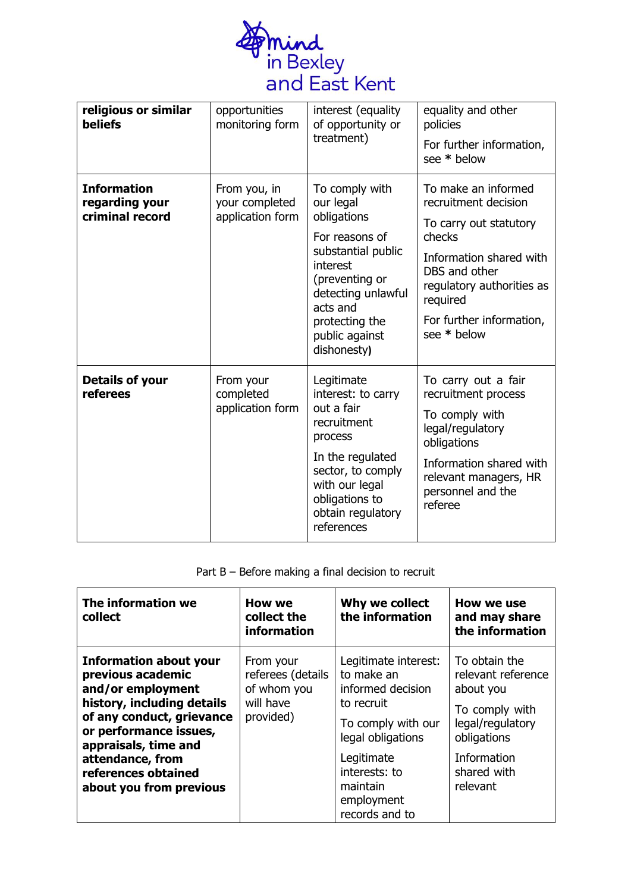

| religious or similar<br><b>beliefs</b>                  | opportunities<br>monitoring form                   | interest (equality<br>of opportunity or<br>treatment)                                                                                                                                                 | equality and other<br>policies<br>For further information,<br>see * below                                                                                                                                       |
|---------------------------------------------------------|----------------------------------------------------|-------------------------------------------------------------------------------------------------------------------------------------------------------------------------------------------------------|-----------------------------------------------------------------------------------------------------------------------------------------------------------------------------------------------------------------|
| <b>Information</b><br>regarding your<br>criminal record | From you, in<br>your completed<br>application form | To comply with<br>our legal<br>obligations<br>For reasons of<br>substantial public<br>interest<br>(preventing or<br>detecting unlawful<br>acts and<br>protecting the<br>public against<br>dishonesty) | To make an informed<br>recruitment decision<br>To carry out statutory<br>checks<br>Information shared with<br>DBS and other<br>regulatory authorities as<br>required<br>For further information,<br>see * below |
| <b>Details of your</b><br>referees                      | From your<br>completed<br>application form         | Legitimate<br>interest: to carry<br>out a fair<br>recruitment<br>process<br>In the regulated<br>sector, to comply<br>with our legal<br>obligations to<br>obtain regulatory<br>references              | To carry out a fair<br>recruitment process<br>To comply with<br>legal/regulatory<br>obligations<br>Information shared with<br>relevant managers, HR<br>personnel and the<br>referee                             |

# Part B – Before making a final decision to recruit

| The information we<br>collect                                                                                                                                                                                                                              | How we<br>collect the<br>information                                    | Why we collect<br>the information                                                                                                                                                           | How we use<br>and may share<br>the information                                                                                                  |
|------------------------------------------------------------------------------------------------------------------------------------------------------------------------------------------------------------------------------------------------------------|-------------------------------------------------------------------------|---------------------------------------------------------------------------------------------------------------------------------------------------------------------------------------------|-------------------------------------------------------------------------------------------------------------------------------------------------|
| <b>Information about your</b><br>previous academic<br>and/or employment<br>history, including details<br>of any conduct, grievance<br>or performance issues,<br>appraisals, time and<br>attendance, from<br>references obtained<br>about you from previous | From your<br>referees (details<br>of whom you<br>will have<br>provided) | Legitimate interest:<br>to make an<br>informed decision<br>to recruit<br>To comply with our<br>legal obligations<br>Legitimate<br>interests: to<br>maintain<br>employment<br>records and to | To obtain the<br>relevant reference<br>about you<br>To comply with<br>legal/regulatory<br>obligations<br>Information<br>shared with<br>relevant |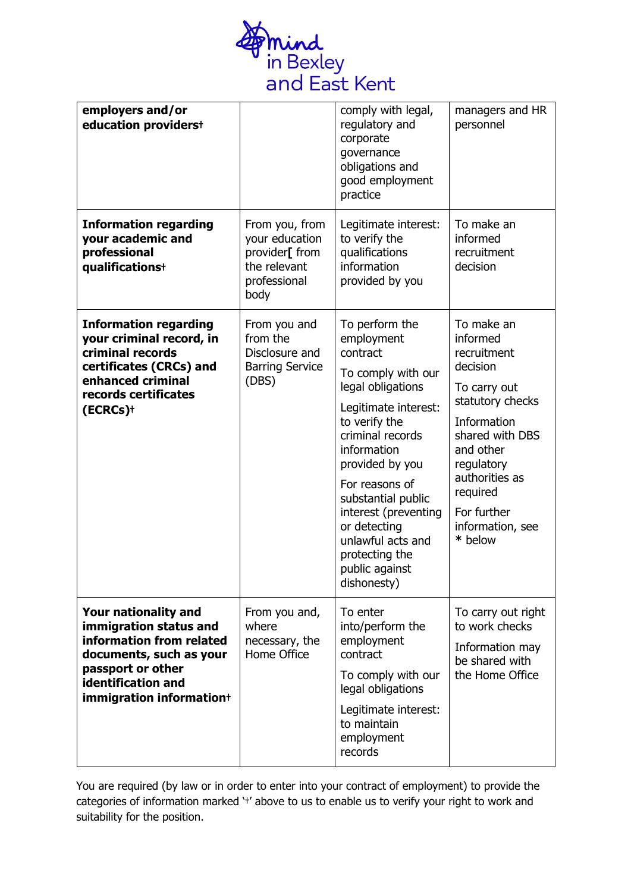

| employers and/or<br>education providerst                                                                                                                                            |                                                                                            | comply with legal,<br>regulatory and<br>corporate<br>governance<br>obligations and<br>good employment<br>practice                                                                                                                                                                                                                          | managers and HR<br>personnel                                                                                                                                                                                                   |
|-------------------------------------------------------------------------------------------------------------------------------------------------------------------------------------|--------------------------------------------------------------------------------------------|--------------------------------------------------------------------------------------------------------------------------------------------------------------------------------------------------------------------------------------------------------------------------------------------------------------------------------------------|--------------------------------------------------------------------------------------------------------------------------------------------------------------------------------------------------------------------------------|
| <b>Information regarding</b><br>your academic and<br>professional<br>qualifications+                                                                                                | From you, from<br>your education<br>provider[ from<br>the relevant<br>professional<br>body | Legitimate interest:<br>to verify the<br>qualifications<br>information<br>provided by you                                                                                                                                                                                                                                                  | To make an<br>informed<br>recruitment<br>decision                                                                                                                                                                              |
| <b>Information regarding</b><br>your criminal record, in<br>criminal records<br>certificates (CRCs) and<br>enhanced criminal<br>records certificates<br>(ECRCs) <sup>+</sup>        | From you and<br>from the<br>Disclosure and<br><b>Barring Service</b><br>(DBS)              | To perform the<br>employment<br>contract<br>To comply with our<br>legal obligations<br>Legitimate interest:<br>to verify the<br>criminal records<br>information<br>provided by you<br>For reasons of<br>substantial public<br>interest (preventing<br>or detecting<br>unlawful acts and<br>protecting the<br>public against<br>dishonesty) | To make an<br>informed<br>recruitment<br>decision<br>To carry out<br>statutory checks<br>Information<br>shared with DBS<br>and other<br>regulatory<br>authorities as<br>required<br>For further<br>information, see<br>* below |
| <b>Your nationality and</b><br>immigration status and<br>information from related<br>documents, such as your<br>passport or other<br>identification and<br>immigration information+ | From you and,<br>where<br>necessary, the<br>Home Office                                    | To enter<br>into/perform the<br>employment<br>contract<br>To comply with our<br>legal obligations<br>Legitimate interest:<br>to maintain<br>employment<br>records                                                                                                                                                                          | To carry out right<br>to work checks<br>Information may<br>be shared with<br>the Home Office                                                                                                                                   |

You are required (by law or in order to enter into your contract of employment) to provide the categories of information marked '†' above to us to enable us to verify your right to work and suitability for the position.